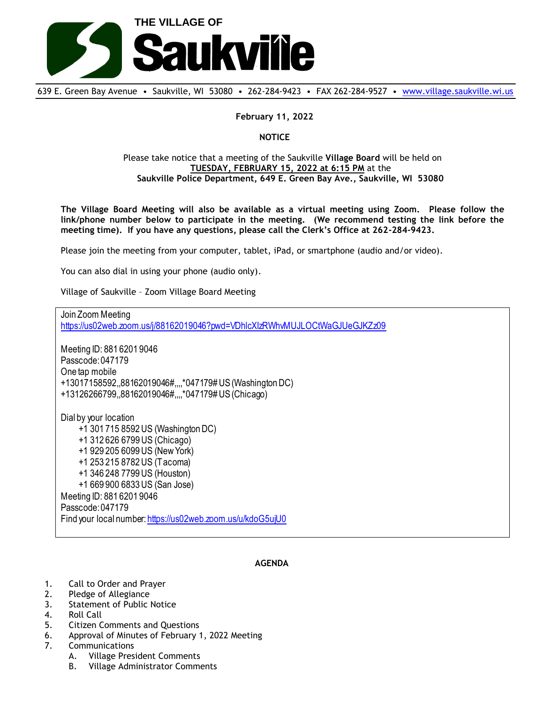

639 E. Green Bay Avenue • Saukville, WI 53080 • 262-284-9423 • FAX 262-284-9527 • [www.village.saukville.wi.us](http://www.village.saukville.wi.us/)

## **February 11, 2022**

## **NOTICE**

## Please take notice that a meeting of the Saukville **Village Board** will be held on **TUESDAY, FEBRUARY 15, 2022 at 6:15 PM** at the **Saukville Police Department, 649 E. Green Bay Ave., Saukville, WI 53080**

**The Village Board Meeting will also be available as a virtual meeting using Zoom. Please follow the link/phone number below to participate in the meeting. (We recommend testing the link before the meeting time). If you have any questions, please call the Clerk's Office at 262-284-9423.**

Please join the meeting from your computer, tablet, iPad, or smartphone (audio and/or video).

You can also dial in using your phone (audio only).

Village of Saukville – Zoom Village Board Meeting

Join Zoom Meeting https://us02web.zoom.us/j/88162019046?pwd=VDhlcXIzRWhvMUJLOCtWaGJUeGJKZz09 Meeting ID: 881 6201 9046 Passcode: 047179 One tap mobile +13017158592,,88162019046#,,,,\*047179# US (Washington DC) +13126266799,,88162019046#,,,,\*047179# US (Chicago) Dial by your location +1 301 715 8592 US (Washington DC) +1 312 626 6799 US (Chicago) +1 929 205 6099 US (New York) +1 253 215 8782 US (Tacoma) +1 346 248 7799 US (Houston) +1 669 900 6833 US (San Jose) Meeting ID: 881 6201 9046 Passcode: 047179 Find your local number: https://us02web.zoom.us/u/kdoG5ujU0

## **AGENDA**

- 1. Call to Order and Prayer
- 2. Pledge of Allegiance
- 3. Statement of Public Notice
- 4. Roll Call
- 5. Citizen Comments and Questions
- 6. Approval of Minutes of February 1, 2022 Meeting
- 7. Communications
	- A. Village President Comments
	- B. Village Administrator Comments